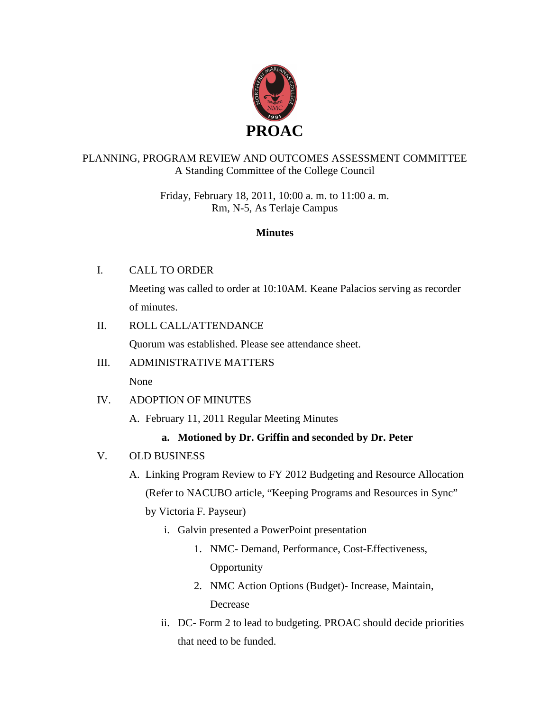

# PLANNING, PROGRAM REVIEW AND OUTCOMES ASSESSMENT COMMITTEE A Standing Committee of the College Council

Friday, February 18, 2011, 10:00 a. m. to 11:00 a. m. Rm, N-5, As Terlaje Campus

#### **Minutes**

### I. CALL TO ORDER

Meeting was called to order at 10:10AM. Keane Palacios serving as recorder of minutes.

### II. ROLL CALL/ATTENDANCE

Quorum was established. Please see attendance sheet.

### III. ADMINISTRATIVE MATTERS

None

#### IV. ADOPTION OF MINUTES

A. February 11, 2011 Regular Meeting Minutes

# **a. Motioned by Dr. Griffin and seconded by Dr. Peter**

#### V. OLD BUSINESS

A. Linking Program Review to FY 2012 Budgeting and Resource Allocation (Refer to NACUBO article, "Keeping Programs and Resources in Sync"

by Victoria F. Payseur)

- i. Galvin presented a PowerPoint presentation
	- 1. NMC- Demand, Performance, Cost-Effectiveness, **Opportunity**
	- 2. NMC Action Options (Budget)- Increase, Maintain, Decrease
- ii. DC- Form 2 to lead to budgeting. PROAC should decide priorities that need to be funded.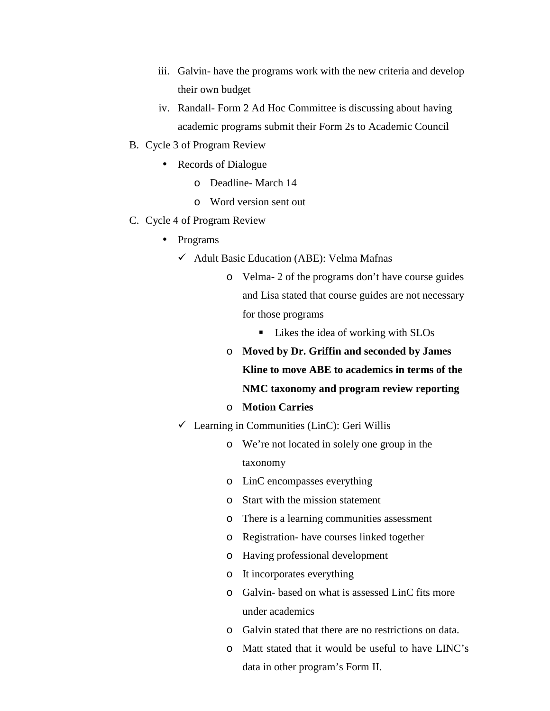- iii. Galvin- have the programs work with the new criteria and develop their own budget
- iv. Randall- Form 2 Ad Hoc Committee is discussing about having academic programs submit their Form 2s to Academic Council
- B. Cycle 3 of Program Review
	- Records of Dialogue
		- o Deadline- March 14
		- o Word version sent out
- C. Cycle 4 of Program Review
	- Programs
		- $\checkmark$  Adult Basic Education (ABE): Velma Mafnas
			- o Velma- 2 of the programs don't have course guides and Lisa stated that course guides are not necessary for those programs
				- **Likes the idea of working with SLOs**
			- o **Moved by Dr. Griffin and seconded by James Kline to move ABE to academics in terms of the NMC taxonomy and program review reporting**
			- o **Motion Carries**
		- $\checkmark$  Learning in Communities (LinC): Geri Willis
			- o We're not located in solely one group in the taxonomy
			- o LinC encompasses everything
			- o Start with the mission statement
			- o There is a learning communities assessment
			- o Registration- have courses linked together
			- o Having professional development
			- o It incorporates everything
			- o Galvin- based on what is assessed LinC fits more under academics
			- o Galvin stated that there are no restrictions on data.
			- o Matt stated that it would be useful to have LINC's data in other program's Form II.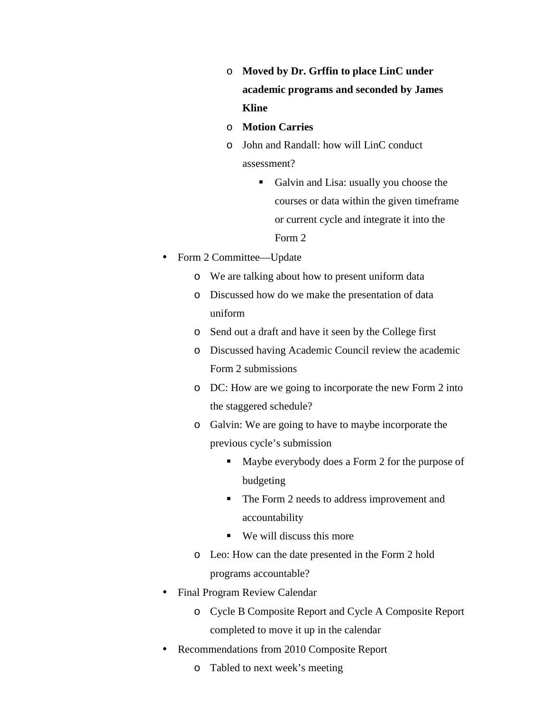- o **Moved by Dr. Grffin to place LinC under academic programs and seconded by James Kline**
- o **Motion Carries**
- o John and Randall: how will LinC conduct assessment?
	- Galvin and Lisa: usually you choose the courses or data within the given timeframe or current cycle and integrate it into the Form 2
- Form 2 Committee—Update
	- o We are talking about how to present uniform data
	- o Discussed how do we make the presentation of data uniform
	- o Send out a draft and have it seen by the College first
	- o Discussed having Academic Council review the academic Form 2 submissions
	- o DC: How are we going to incorporate the new Form 2 into the staggered schedule?
	- o Galvin: We are going to have to maybe incorporate the previous cycle's submission
		- - Maybe everybody does a Form 2 for the purpose of budgeting
		- The Form 2 needs to address improvement and accountability
		- We will discuss this more
	- o Leo: How can the date presented in the Form 2 hold programs accountable?
- Final Program Review Calendar
	- o Cycle B Composite Report and Cycle A Composite Report completed to move it up in the calendar
- Recommendations from 2010 Composite Report
	- o Tabled to next week's meeting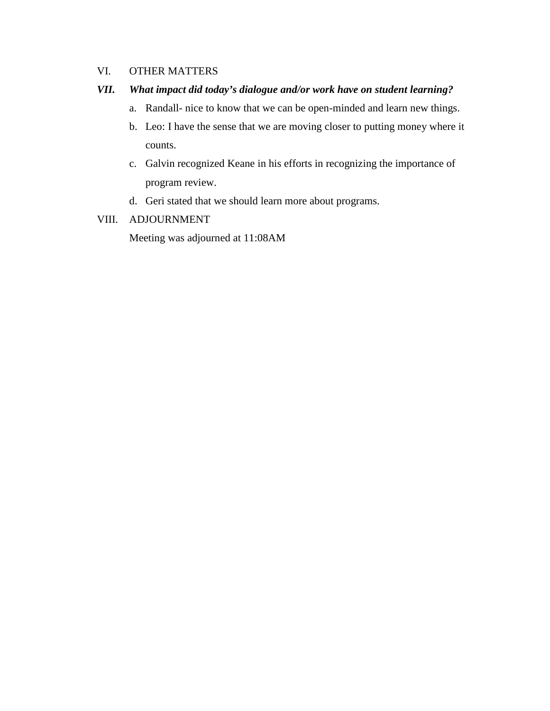#### VI. OTHER MATTERS

#### *VII. What impact did today's dialogue and/or work have on student learning?*

- a. Randall- nice to know that we can be open-minded and learn new things.
- b. Leo: I have the sense that we are moving closer to putting money where it counts.
- c. Galvin recognized Keane in his efforts in recognizing the importance of program review.
- d. Geri stated that we should learn more about programs.

#### VIII. ADJOURNMENT

Meeting was adjourned at 11:08AM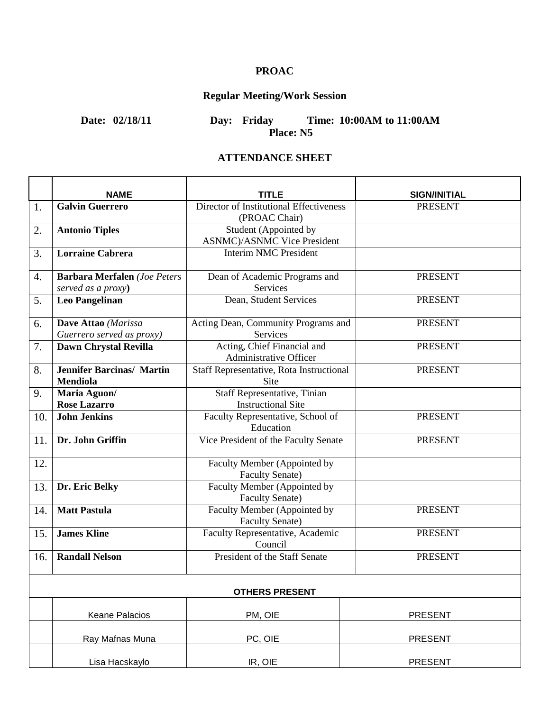# **PROAC**

# **Regular Meeting/Work Session**

**Date: 02/18/11 Day: Friday Time: 10:00AM to 11:00AM Place: N5** 

#### **ATTENDANCE SHEET**

|     | <b>NAME</b>                         | TITLE                                                         | <b>SIGN/INITIAL</b> |
|-----|-------------------------------------|---------------------------------------------------------------|---------------------|
| 1.  | <b>Galvin Guerrero</b>              | Director of Institutional Effectiveness                       | <b>PRESENT</b>      |
|     |                                     | (PROAC Chair)                                                 |                     |
| 2.  | <b>Antonio Tiples</b>               | Student (Appointed by                                         |                     |
|     |                                     | <b>ASNMC</b> )/ASNMC Vice President                           |                     |
| 3.  | <b>Lorraine Cabrera</b>             | <b>Interim NMC President</b>                                  |                     |
| 4.  | <b>Barbara Merfalen</b> (Joe Peters | Dean of Academic Programs and                                 | <b>PRESENT</b>      |
|     | served as a proxy)                  | Services                                                      |                     |
| 5.  | <b>Leo Pangelinan</b>               | Dean, Student Services                                        | <b>PRESENT</b>      |
| 6.  | Dave Attao (Marissa                 | Acting Dean, Community Programs and                           | <b>PRESENT</b>      |
|     | Guerrero served as proxy)           | Services                                                      |                     |
| 7.  | Dawn Chrystal Revilla               | Acting, Chief Financial and<br>Administrative Officer         | <b>PRESENT</b>      |
| 8.  | <b>Jennifer Barcinas/ Martin</b>    | Staff Representative, Rota Instructional                      | <b>PRESENT</b>      |
|     | <b>Mendiola</b>                     | <b>Site</b>                                                   |                     |
| 9.  | Maria Aguon/                        | Staff Representative, Tinian                                  |                     |
|     | <b>Rose Lazarro</b>                 | <b>Instructional Site</b>                                     |                     |
| 10. | <b>John Jenkins</b>                 | Faculty Representative, School of                             | <b>PRESENT</b>      |
|     |                                     | Education                                                     |                     |
| 11. | Dr. John Griffin                    | Vice President of the Faculty Senate                          | <b>PRESENT</b>      |
| 12. |                                     | Faculty Member (Appointed by                                  |                     |
|     |                                     | <b>Faculty Senate)</b>                                        |                     |
| 13. | Dr. Eric Belky                      | Faculty Member (Appointed by                                  |                     |
|     |                                     | <b>Faculty Senate)</b>                                        |                     |
| 14. | <b>Matt Pastula</b>                 | <b>Faculty Member (Appointed by</b><br><b>Faculty Senate)</b> | <b>PRESENT</b>      |
| 15. | <b>James Kline</b>                  | Faculty Representative, Academic                              | <b>PRESENT</b>      |
|     |                                     | Council                                                       |                     |
| 16. | <b>Randall Nelson</b>               | President of the Staff Senate                                 | <b>PRESENT</b>      |
|     |                                     |                                                               |                     |
|     |                                     | <b>OTHERS PRESENT</b>                                         |                     |
|     | <b>Keane Palacios</b>               | PM, OIE                                                       | <b>PRESENT</b>      |
|     | Ray Mafnas Muna                     | PC, OIE                                                       | <b>PRESENT</b>      |
|     |                                     |                                                               |                     |
|     | Lisa Hacskaylo                      | IR, OIE                                                       | <b>PRESENT</b>      |